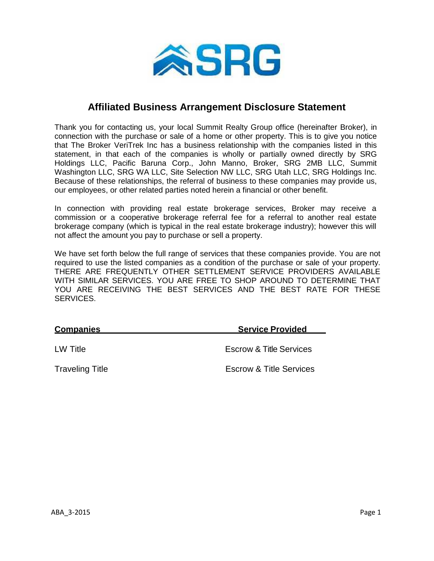

## **Affiliated Business Arrangement Disclosure Statement**

Thank you for contacting us, your local Summit Realty Group office (hereinafter Broker), in connection with the purchase or sale of a home or other property. This is to give you notice that The Broker VeriTrek Inc has a business relationship with the companies listed in this statement, in that each of the companies is wholly or partially owned directly by SRG Holdings LLC, Pacific Baruna Corp., John Manno, Broker, SRG 2MB LLC, Summit Washington LLC, SRG WA LLC, Site Selection NW LLC, SRG Utah LLC, SRG Holdings Inc. Because of these relationships, the referral of business to these companies may provide us, our employees, or other related parties noted herein a financial or other benefit.

In connection with providing real estate brokerage services, Broker may receive a commission or a cooperative brokerage referral fee for a referral to another real estate brokerage company (which is typical in the real estate brokerage industry); however this will not affect the amount you pay to purchase or sell a property.

We have set forth below the full range of services that these companies provide. You are not required to use the listed companies as a condition of the purchase or sale of your property. THERE ARE FREQUENTLY OTHER SETTLEMENT SERVICE PROVIDERS AVAILABLE WITH SIMILAR SERVICES. YOU ARE FREE TO SHOP AROUND TO DETERMINE THAT YOU ARE RECEIVING THE BEST SERVICES AND THE BEST RATE FOR THESE SERVICES.

| <b>Companies</b>       | <b>Service Provided</b>            |  |
|------------------------|------------------------------------|--|
| LW Title               | <b>Escrow &amp; Title Services</b> |  |
| <b>Traveling Title</b> | <b>Escrow &amp; Title Services</b> |  |